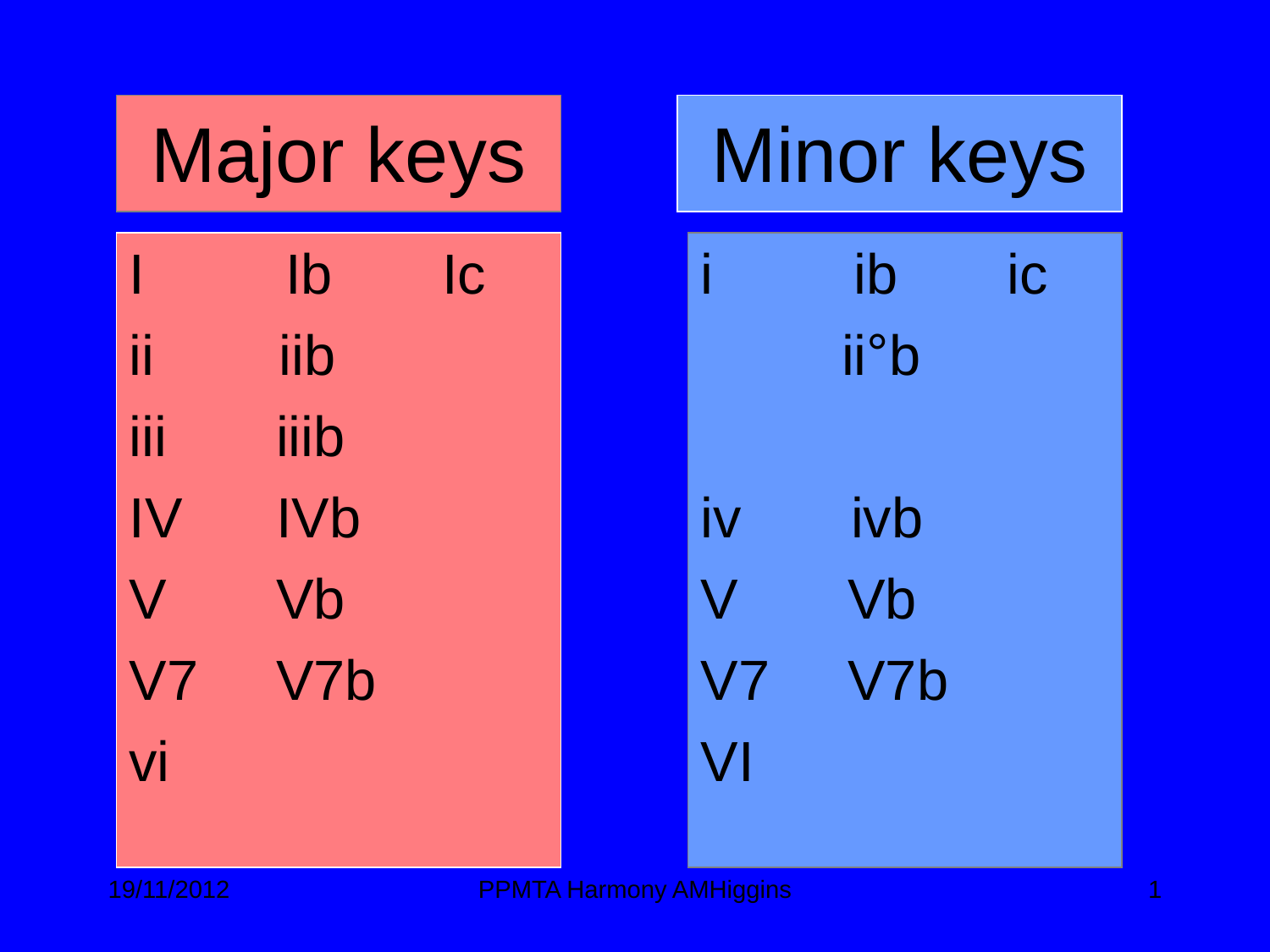| <b>Major keys</b>       |            |           | <b>Minor keys</b> |                          |    |
|-------------------------|------------|-----------|-------------------|--------------------------|----|
|                         | lb         | <b>IC</b> |                   | ib                       | ic |
|                         | iib        |           |                   | <i>ii</i> <sup>°</sup> b |    |
| iii                     | iiib       |           |                   |                          |    |
| IV                      | <b>IVb</b> |           | İV                | ivb                      |    |
| $\overline{\mathsf{V}}$ | Vb         |           | $\overline{\vee}$ | Vb                       |    |
| V <sub>7</sub>          | V7b        |           | V7                | V7b                      |    |
| vi                      |            |           | V <sub>l</sub>    |                          |    |
|                         |            |           |                   |                          |    |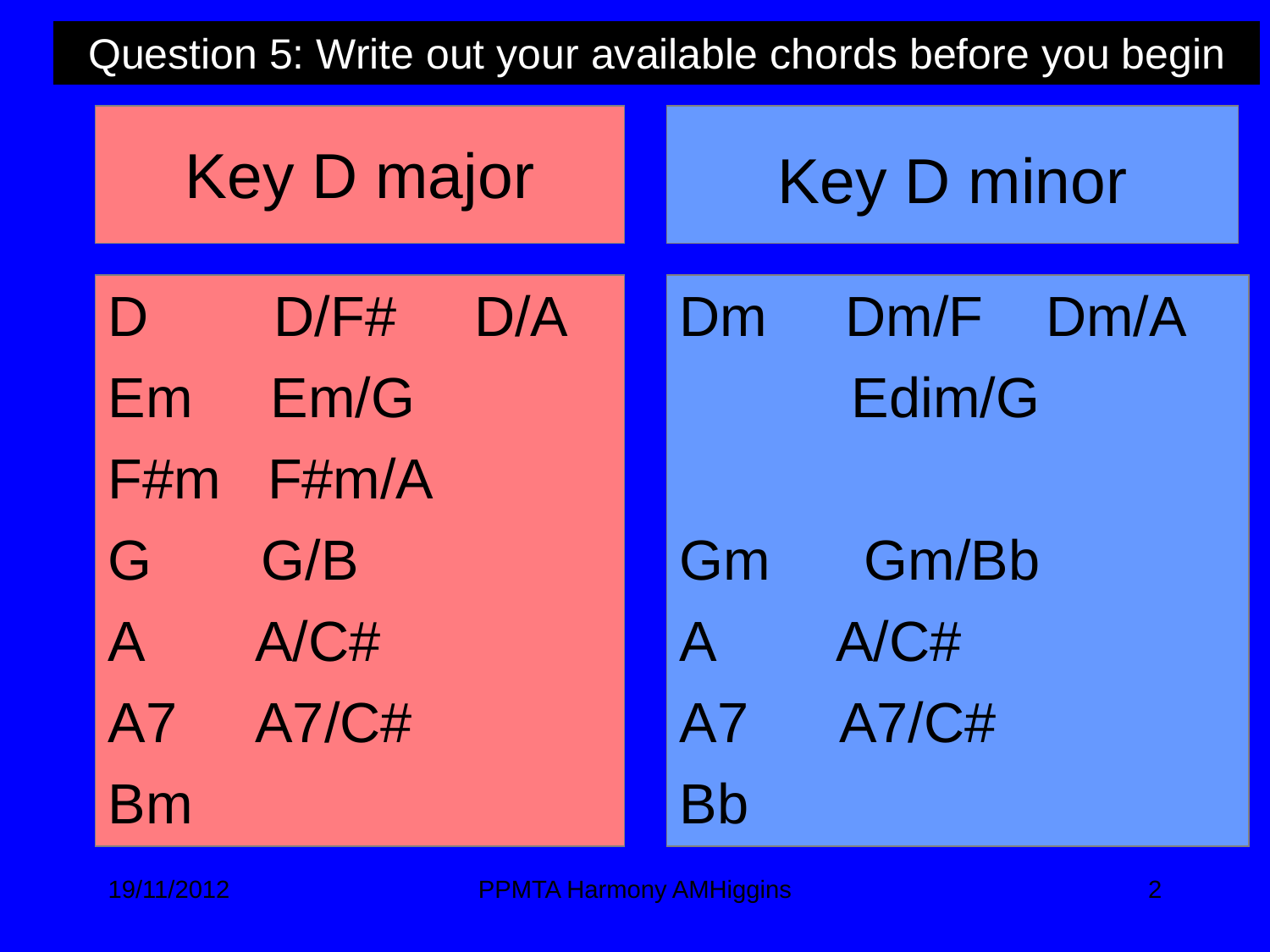Question 5: Write out your available chords before you begin

|                         | <b>Key D major</b> |     | <b>Key D minor</b> |                         |  |  |
|-------------------------|--------------------|-----|--------------------|-------------------------|--|--|
| $\mathbf D$<br>Em       | D/F#<br>Em/G       | D/A | Dm                 | $Dm/F$ $Dm/A$<br>Edim/G |  |  |
| F#m                     | F#m/A              |     |                    |                         |  |  |
| G                       | G/B                |     | Gm                 | Gm/Bb                   |  |  |
| $\overline{\mathsf{A}}$ | A/CH               |     | $\mathsf{A}$       | A/CH                    |  |  |
| <b>A7</b>               | A7/C#              |     | A7                 | <b>A7/C#</b>            |  |  |
| <b>Bm</b>               |                    |     | Bh                 |                         |  |  |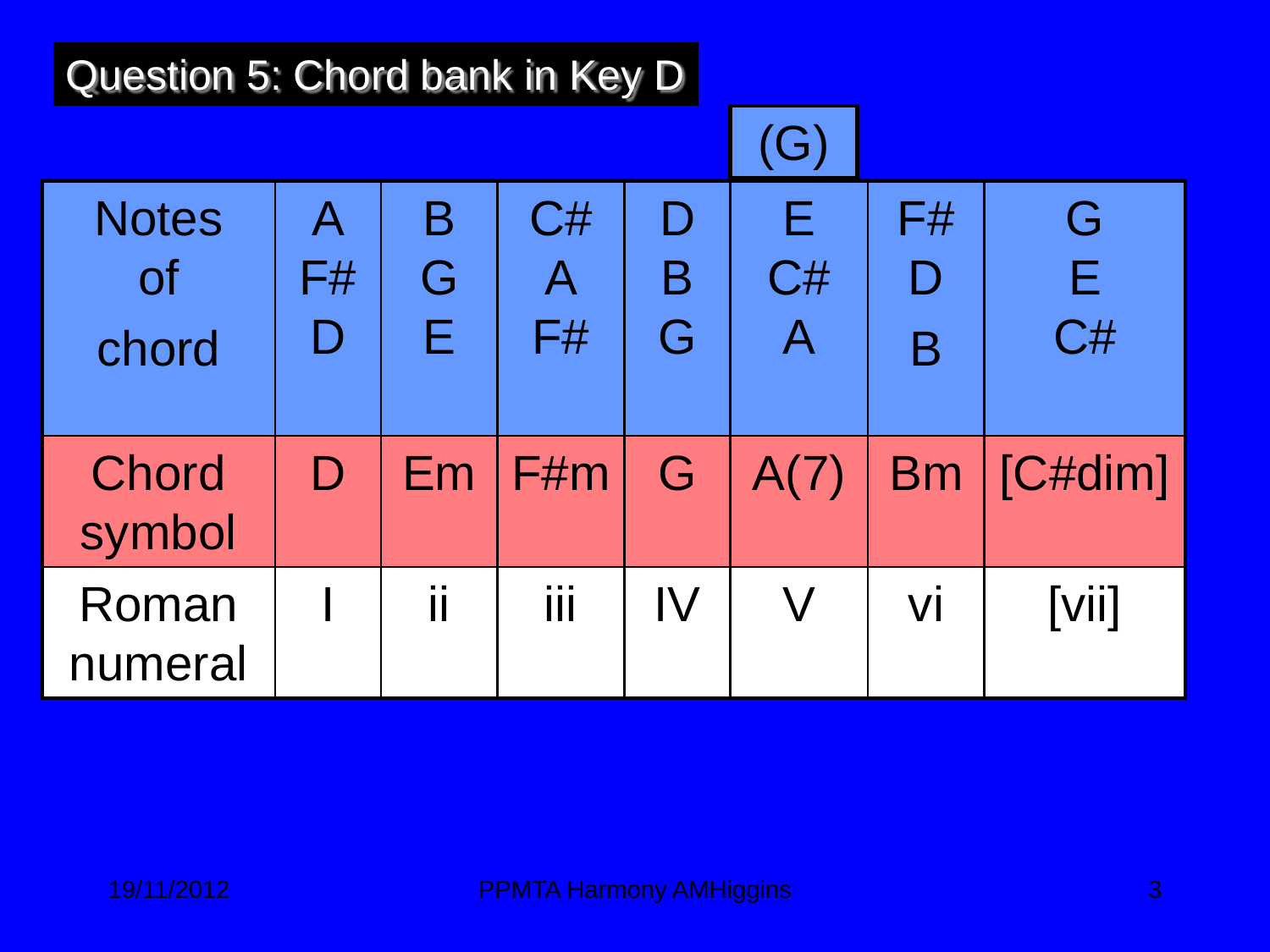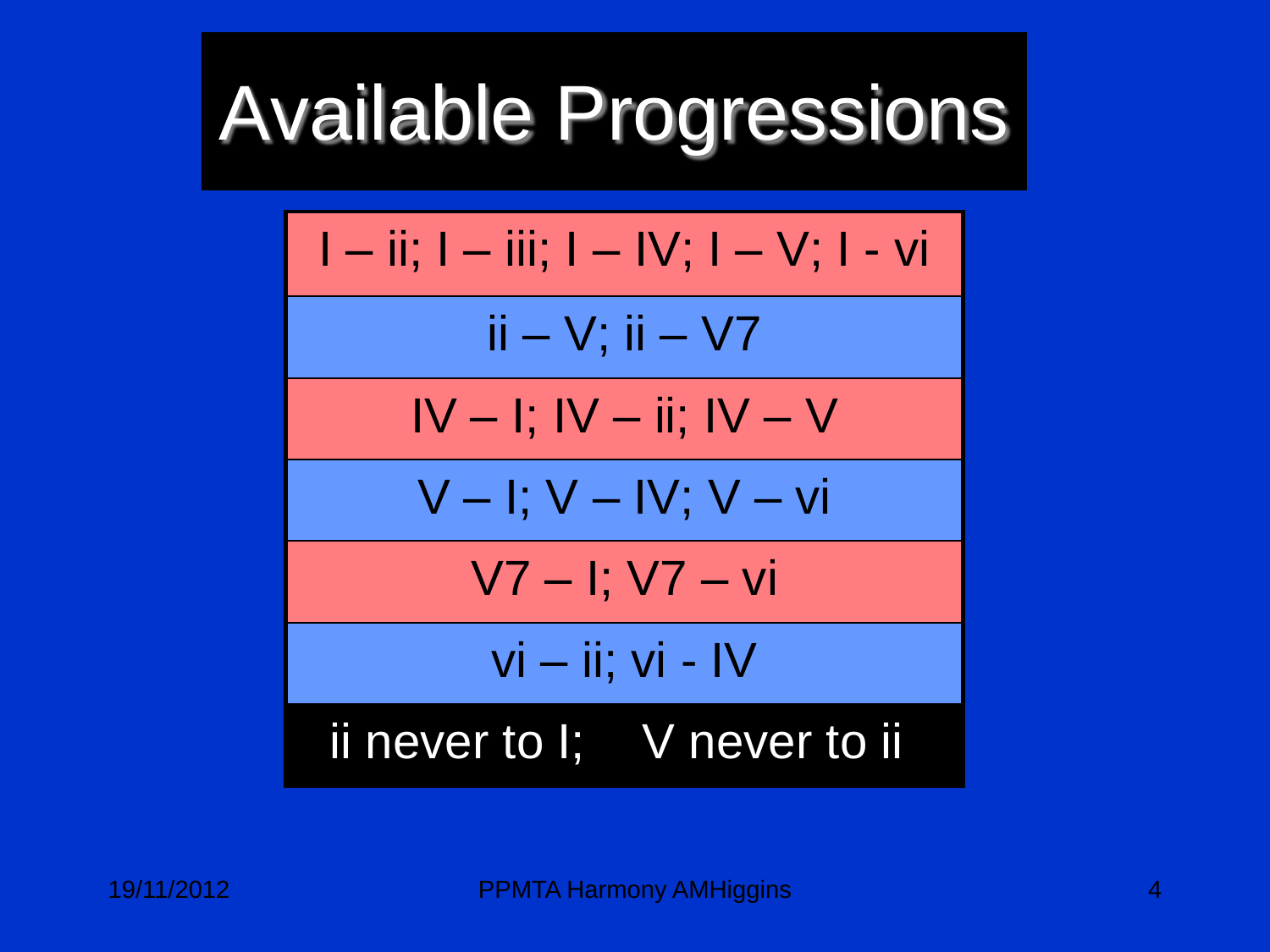# Available Progressions

$$
\begin{array}{|l|l|} \hline l & -\text{ii; } l-\text{iii; } l-N; \ l-V; \ l-vi \\ \hline \text{ii-V; ii-V7} \\ \hline \text{IV} & -\text{I; IV}-\text{ii; IV}-\text{V} \\ \hline \text{V}-\text{I; V}-\text{IV; V}-\text{vi} \\ \hline \text{V7}-\text{I; V7}-\text{vi} \\ \hline \text{vi}-\text{ii; vi-V} \\ \hline \text{ii never to I; V never to ii} \end{array}
$$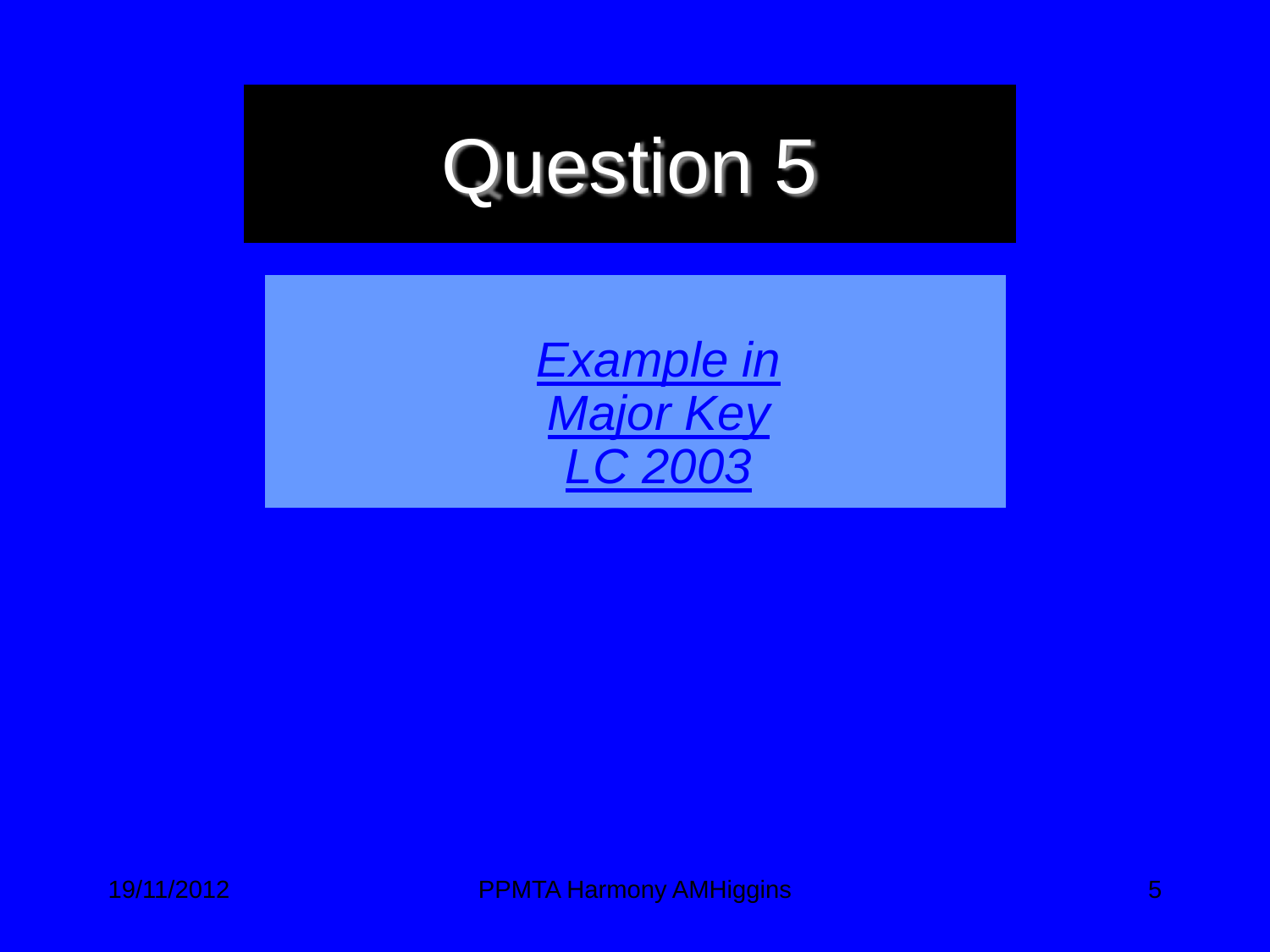### Question 5

*[Example in](http://www.clubi.ie/amhiggins/q5_2003.htm)  [Major Key](http://www.clubi.ie/amhiggins/q5_2003.htm)  [LC 2003](http://www.clubi.ie/amhiggins/q5_2003.htm)*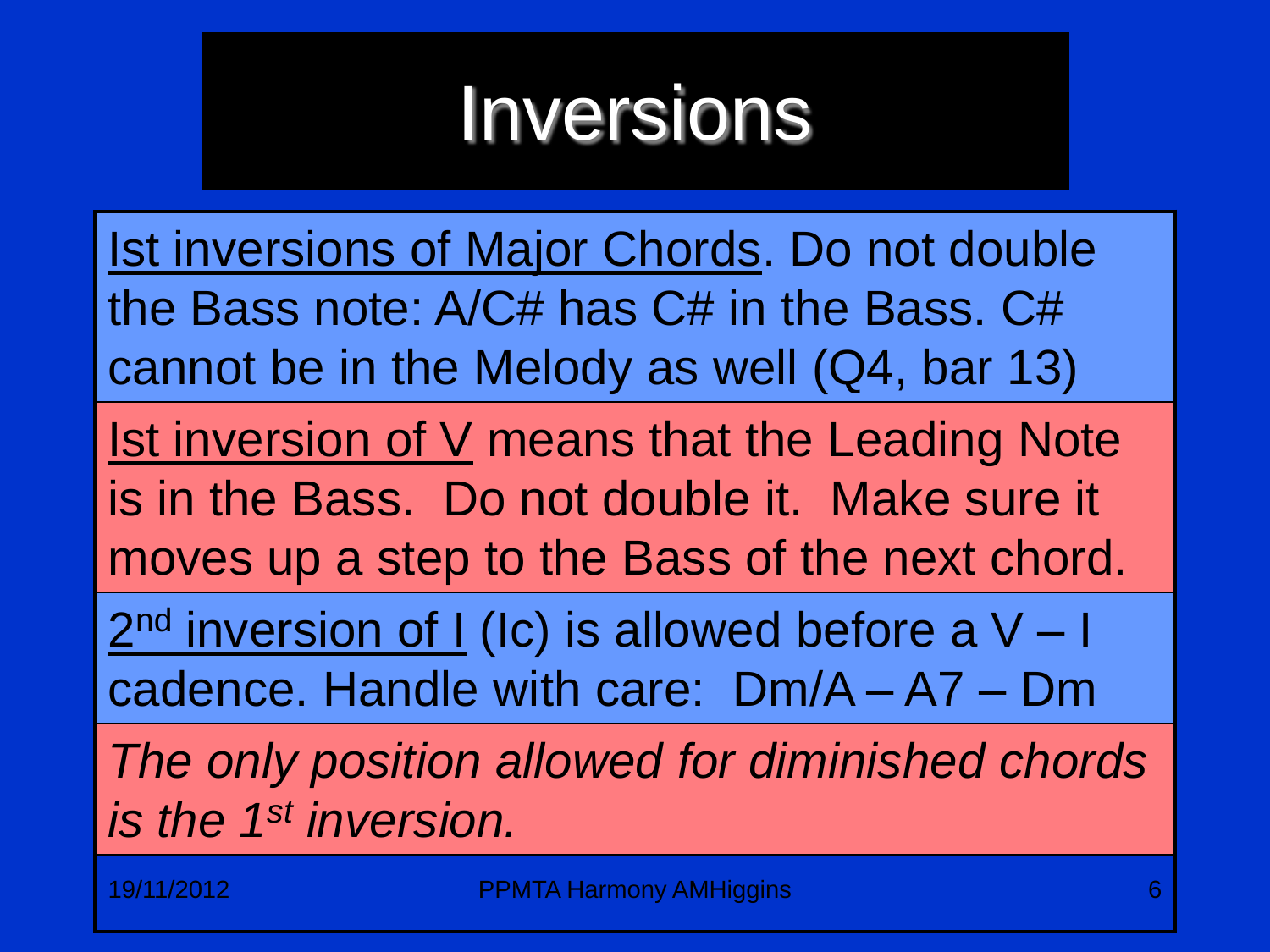#### Inversions

Ist inversions of Major Chords. Do not double the Bass note: A/C# has C# in the Bass. C# cannot be in the Melody as well (Q4, bar 13) Ist inversion of V means that the Leading Note is in the Bass. Do not double it. Make sure it moves up a step to the Bass of the next chord.  $2<sup>nd</sup>$  inversion of I (Ic) is allowed before a V - I cadence. Handle with care: Dm/A – A7 – Dm *The only position allowed for diminished chords is the 1st inversion.*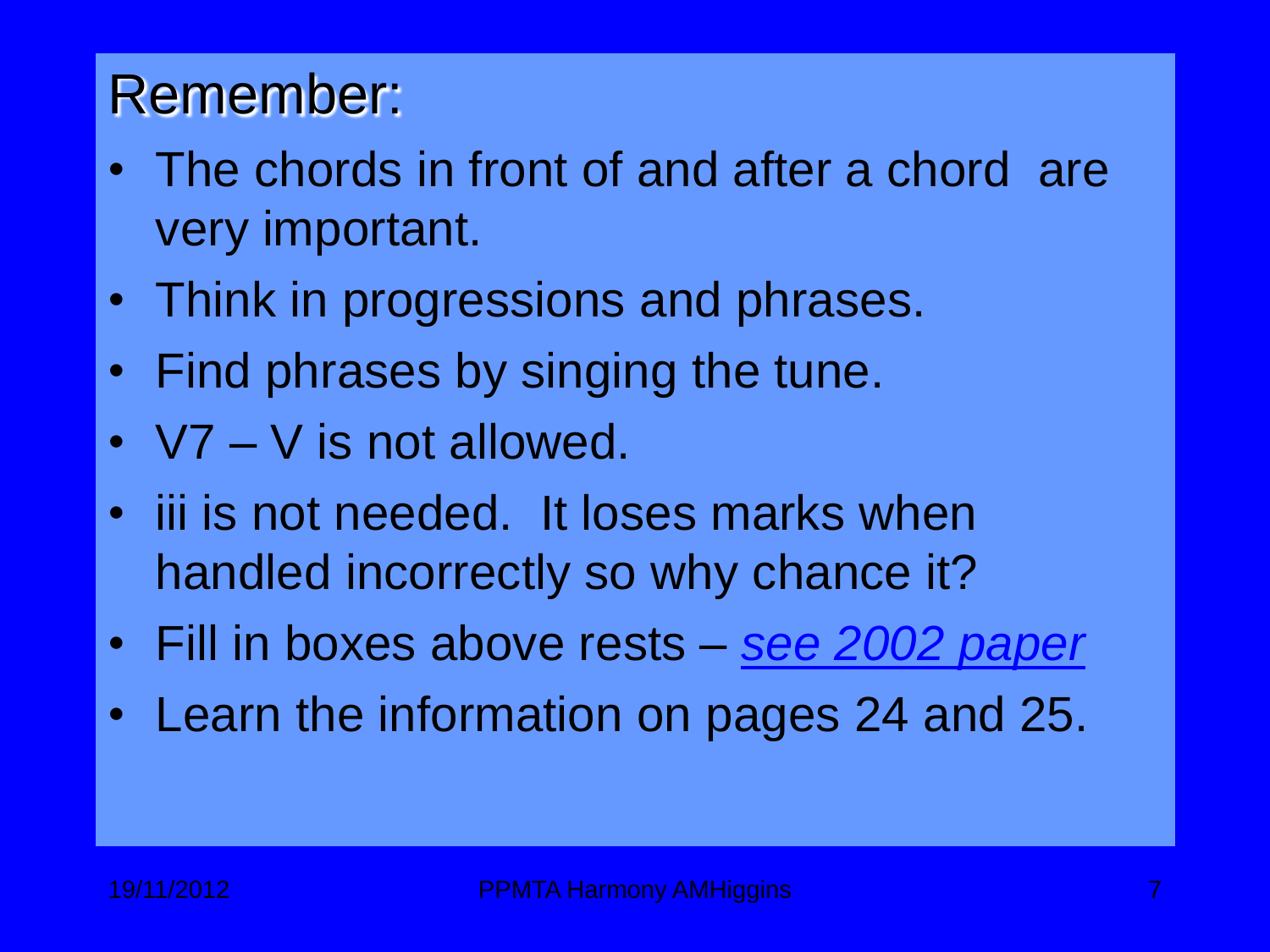#### Remember:

- The chords in front of and after a chord are very important.
- Think in progressions and phrases.
- Find phrases by singing the tune.
- $V7 V$  is not allowed.
- iii is not needed. It loses marks when handled incorrectly so why chance it?
- Fill in boxes above rests *[see 2002 paper](http://www.clubi.ie/amhiggins/q5_2002.htm)*
- Learn the information on pages 24 and 25.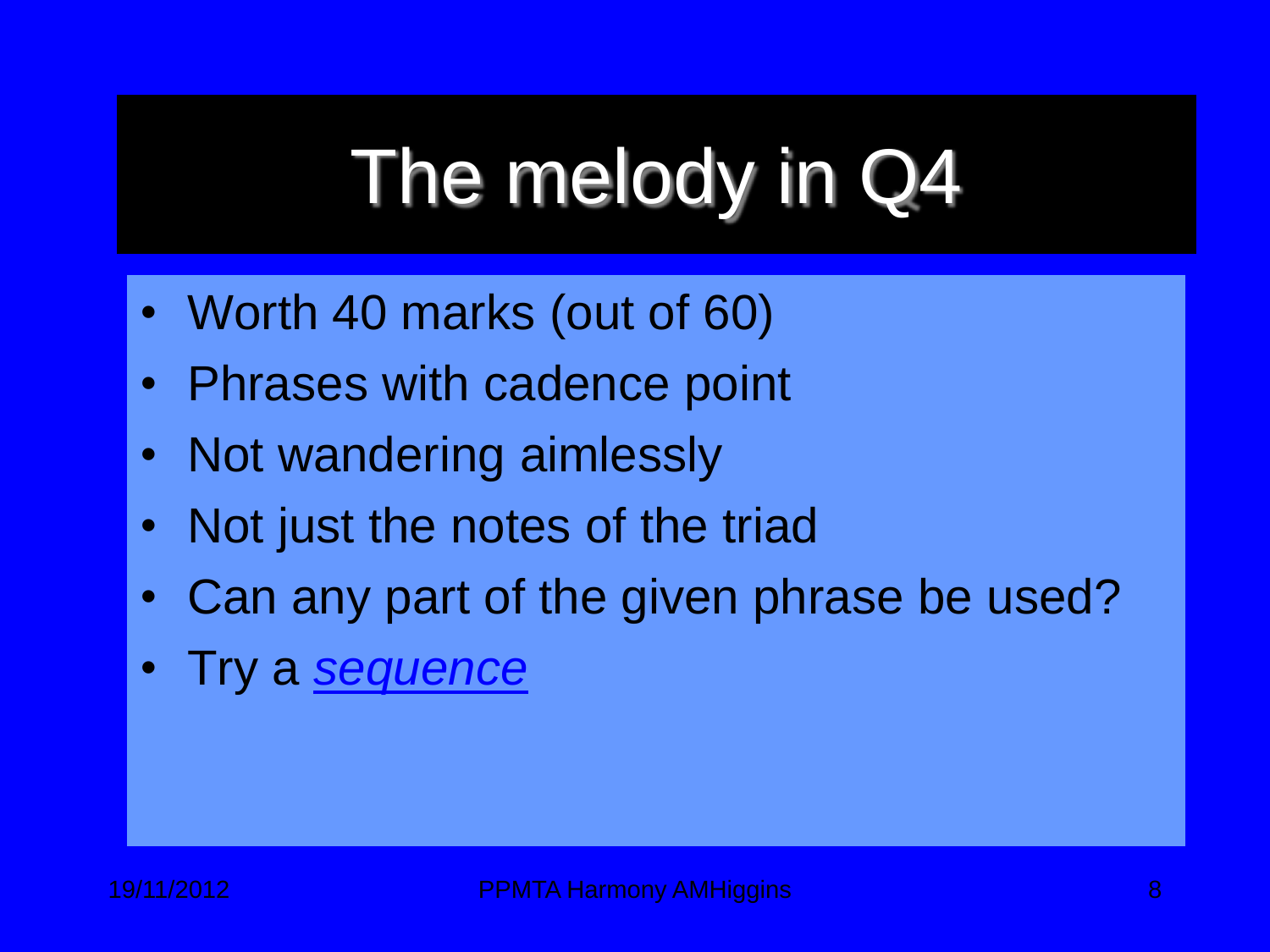# The melody in Q4

- Worth 40 marks (out of 60)
- Phrases with cadence point
- Not wandering aimlessly
- Not just the notes of the triad
- Can any part of the given phrase be used?
- Try a *[sequence](http://www.clubi.ie/amhiggins/sequence.htm)*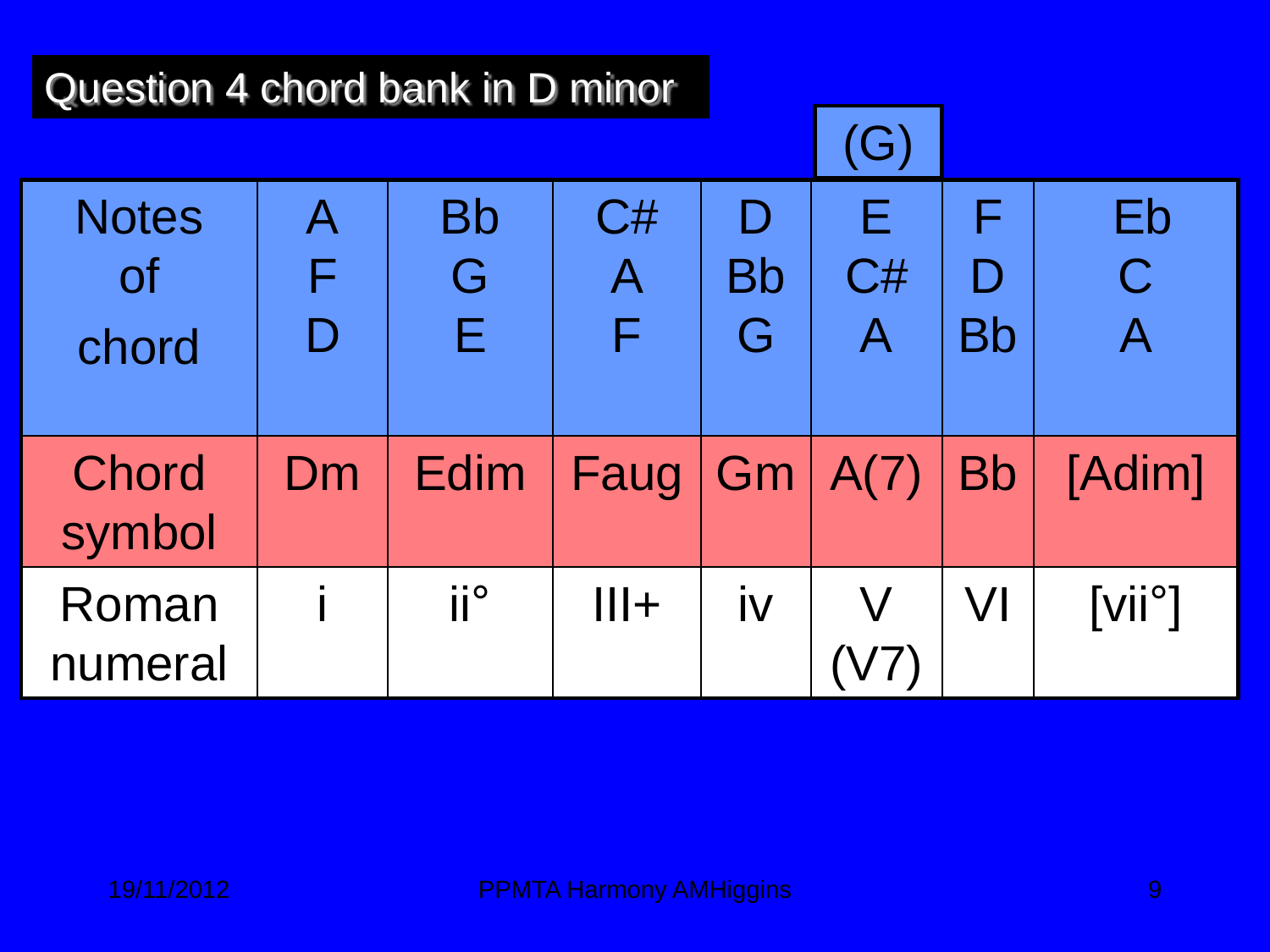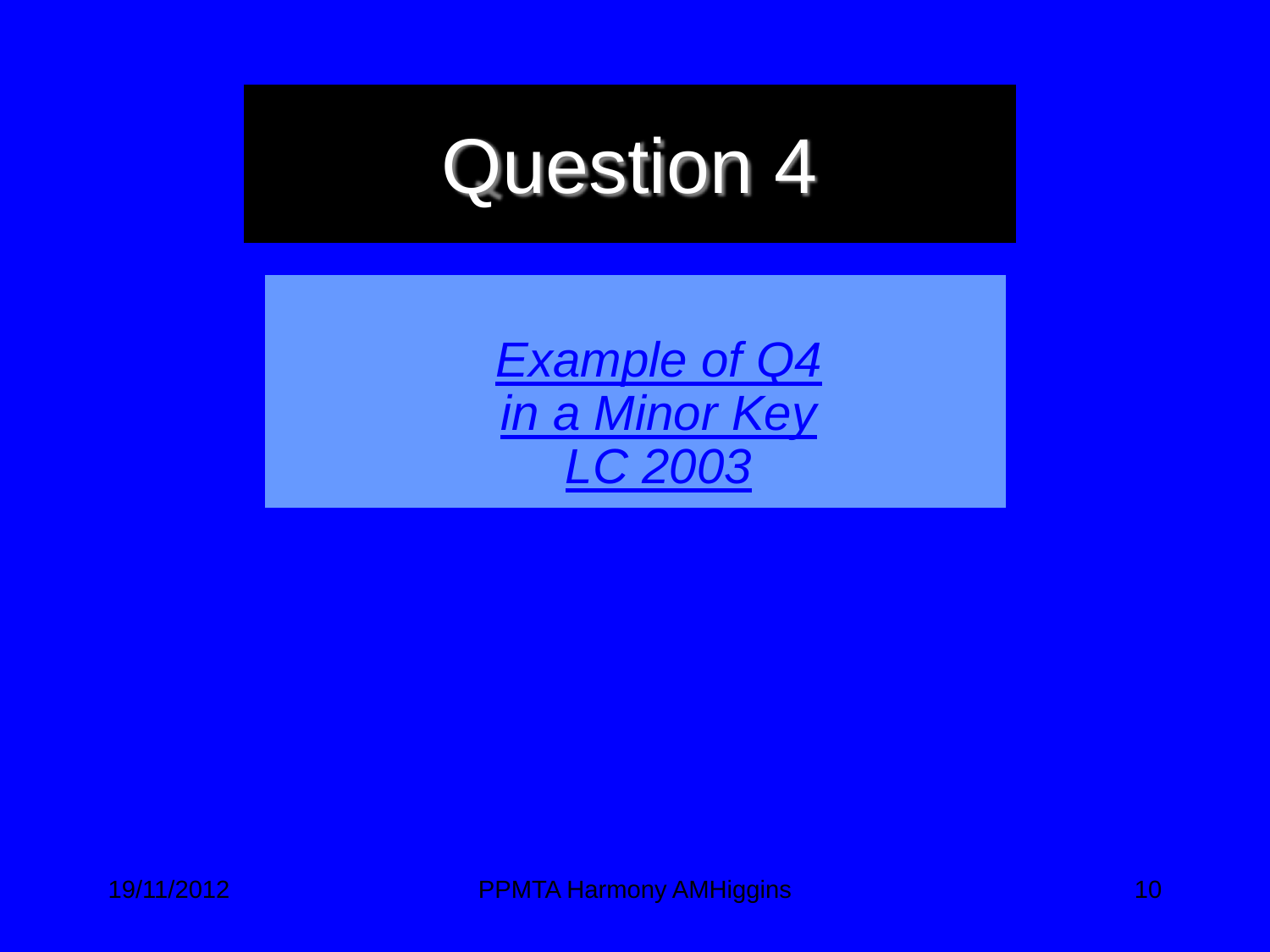## Question 4

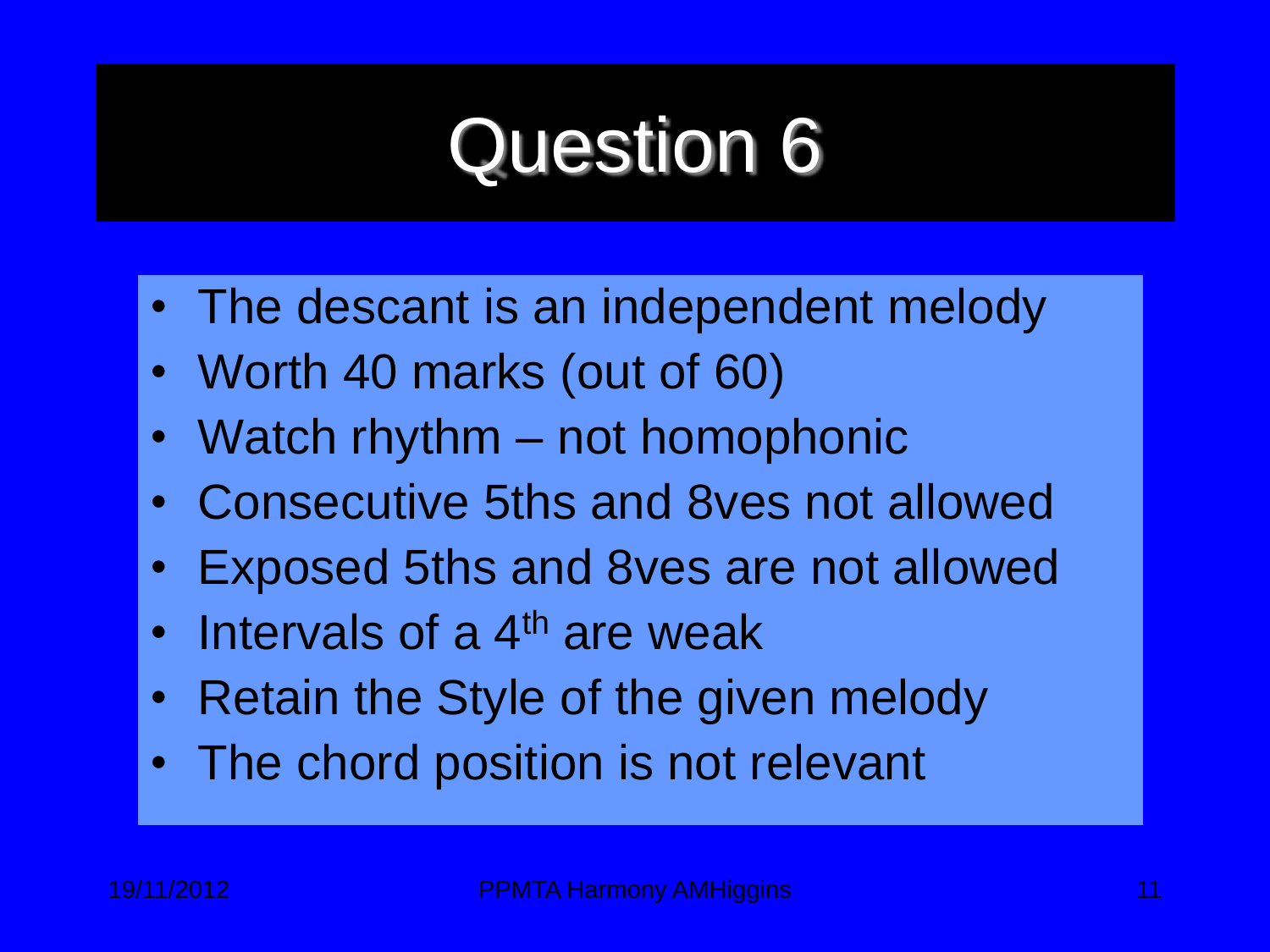# Question 6

- The descant is an independent melody
- Worth 40 marks (out of 60)
- Watch rhythm not homophonic
- Consecutive 5ths and 8ves not allowed
- Exposed 5ths and 8ves are not allowed
- Intervals of a  $4<sup>th</sup>$  are weak
- Retain the Style of the given melody
- The chord position is not relevant